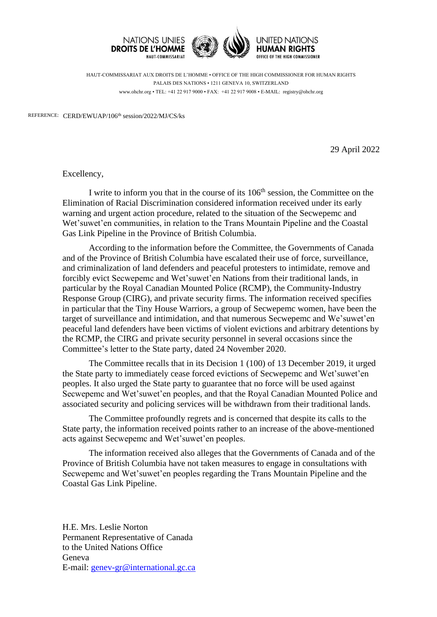

HAUT-COMMISSARIAT AUX DROITS DE L'HOMME • OFFICE OF THE HIGH COMMISSIONER FOR HUMAN RIGHTS PALAIS DES NATIONS • 1211 GENEVA 10, SWITZERLAND www.ohchr.org • TEL: +41 22 917 9000 • FAX: +41 22 917 9008 • E-MAIL: registry@ohchr.org

REFERENCE: CERD/EWUAP/106<sup>th</sup> session/2022/MJ/CS/ks

29 April 2022

Excellency,

I write to inform you that in the course of its 106<sup>th</sup> session, the Committee on the Elimination of Racial Discrimination considered information received under its early warning and urgent action procedure, related to the situation of the Secwepemc and Wet'suwet'en communities, in relation to the Trans Mountain Pipeline and the Coastal Gas Link Pipeline in the Province of British Columbia.

According to the information before the Committee, the Governments of Canada and of the Province of British Columbia have escalated their use of force, surveillance, and criminalization of land defenders and peaceful protesters to intimidate, remove and forcibly evict Secwepemc and Wet'suwet'en Nations from their traditional lands, in particular by the Royal Canadian Mounted Police (RCMP), the Community-Industry Response Group (CIRG), and private security firms. The information received specifies in particular that the Tiny House Warriors, a group of Secwepemc women, have been the target of surveillance and intimidation, and that numerous Secwepemc and We'suwet'en peaceful land defenders have been victims of violent evictions and arbitrary detentions by the RCMP, the CIRG and private security personnel in several occasions since the Committee's letter to the State party, dated 24 November 2020.

The Committee recalls that in its Decision 1 (100) of 13 December 2019, it urged the State party to immediately cease forced evictions of Secwepemc and Wet'suwet'en peoples. It also urged the State party to guarantee that no force will be used against Secwepemc and Wet'suwet'en peoples, and that the Royal Canadian Mounted Police and associated security and policing services will be withdrawn from their traditional lands.

The Committee profoundly regrets and is concerned that despite its calls to the State party, the information received points rather to an increase of the above-mentioned acts against Secwepemc and Wet'suwet'en peoples.

The information received also alleges that the Governments of Canada and of the Province of British Columbia have not taken measures to engage in consultations with Secwepemc and Wet'suwet'en peoples regarding the Trans Mountain Pipeline and the Coastal Gas Link Pipeline.

H.E. Mrs. Leslie Norton Permanent Representative of Canada to the United Nations Office Geneva E-mail: [genev-gr@international.gc.ca](mailto:genev-gr@international.gc.ca)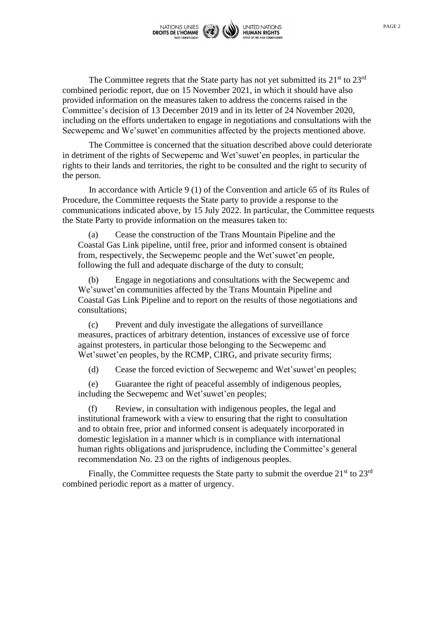

The Committee regrets that the State party has not yet submitted its  $21<sup>st</sup>$  to  $23<sup>rd</sup>$ combined periodic report, due on 15 November 2021, in which it should have also provided information on the measures taken to address the concerns raised in the Committee's decision of 13 December 2019 and in its letter of 24 November 2020, including on the efforts undertaken to engage in negotiations and consultations with the Secwepemc and We'suwet'en communities affected by the projects mentioned above.

The Committee is concerned that the situation described above could deteriorate in detriment of the rights of Secwepemc and Wet'suwet'en peoples, in particular the rights to their lands and territories, the right to be consulted and the right to security of the person.

In accordance with Article 9 (1) of the Convention and article 65 of its Rules of Procedure, the Committee requests the State party to provide a response to the communications indicated above, by 15 July 2022. In particular, the Committee requests the State Party to provide information on the measures taken to:

(a) Cease the construction of the Trans Mountain Pipeline and the Coastal Gas Link pipeline, until free, prior and informed consent is obtained from, respectively, the Secwepemc people and the Wet'suwet'en people, following the full and adequate discharge of the duty to consult;

(b) Engage in negotiations and consultations with the Secwepemc and We'suwet'en communities affected by the Trans Mountain Pipeline and Coastal Gas Link Pipeline and to report on the results of those negotiations and consultations;

(c) Prevent and duly investigate the allegations of surveillance measures, practices of arbitrary detention, instances of excessive use of force against protesters, in particular those belonging to the Secwepemc and Wet'suwet'en peoples, by the RCMP, CIRG, and private security firms;

(d) Cease the forced eviction of Secwepemc and Wet'suwet'en peoples;

(e) Guarantee the right of peaceful assembly of indigenous peoples, including the Secwepemc and Wet'suwet'en peoples;

(f) Review, in consultation with indigenous peoples, the legal and institutional framework with a view to ensuring that the right to consultation and to obtain free, prior and informed consent is adequately incorporated in domestic legislation in a manner which is in compliance with international human rights obligations and jurisprudence, including the Committee's general recommendation No. 23 on the rights of indigenous peoples.

Finally, the Committee requests the State party to submit the overdue  $21<sup>st</sup>$  to  $23<sup>rd</sup>$ combined periodic report as a matter of urgency.